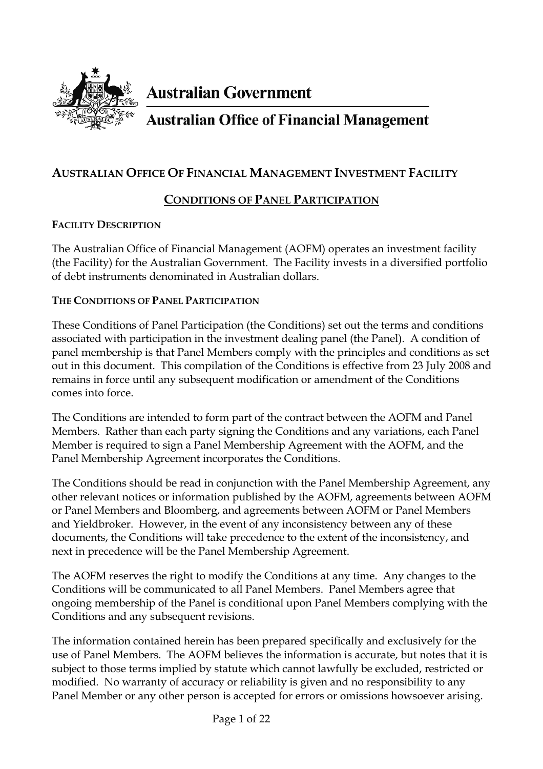

**Australian Government** 

# **Australian Office of Financial Management**

## **AUSTRALIAN OFFICE OF FINANCIAL MANAGEMENT INVESTMENT FACILITY**

# **CONDITIONS OF PANEL PARTICIPATION**

### **FACILITY DESCRIPTION**

The Australian Office of Financial Management (AOFM) operates an investment facility (the Facility) for the Australian Government. The Facility invests in a diversified portfolio of debt instruments denominated in Australian dollars.

### **THE CONDITIONS OF PANEL PARTICIPATION**

These Conditions of Panel Participation (the Conditions) set out the terms and conditions associated with participation in the investment dealing panel (the Panel). A condition of panel membership is that Panel Members comply with the principles and conditions as set out in this document. This compilation of the Conditions is effective from 23 July 2008 and remains in force until any subsequent modification or amendment of the Conditions comes into force.

The Conditions are intended to form part of the contract between the AOFM and Panel Members. Rather than each party signing the Conditions and any variations, each Panel Member is required to sign a Panel Membership Agreement with the AOFM, and the Panel Membership Agreement incorporates the Conditions.

The Conditions should be read in conjunction with the Panel Membership Agreement, any other relevant notices or information published by the AOFM, agreements between AOFM or Panel Members and Bloomberg, and agreements between AOFM or Panel Members and Yieldbroker. However, in the event of any inconsistency between any of these documents, the Conditions will take precedence to the extent of the inconsistency, and next in precedence will be the Panel Membership Agreement.

The AOFM reserves the right to modify the Conditions at any time. Any changes to the Conditions will be communicated to all Panel Members. Panel Members agree that ongoing membership of the Panel is conditional upon Panel Members complying with the Conditions and any subsequent revisions.

The information contained herein has been prepared specifically and exclusively for the use of Panel Members. The AOFM believes the information is accurate, but notes that it is subject to those terms implied by statute which cannot lawfully be excluded, restricted or modified. No warranty of accuracy or reliability is given and no responsibility to any Panel Member or any other person is accepted for errors or omissions howsoever arising.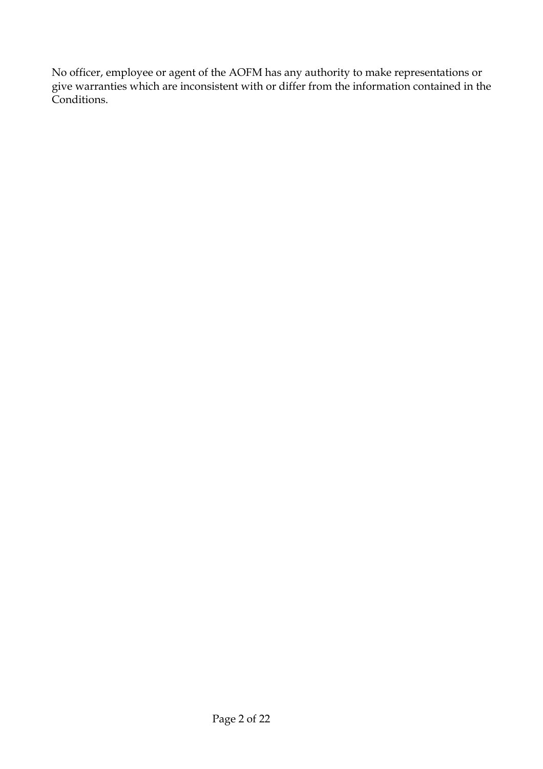No officer, employee or agent of the AOFM has any authority to make representations or give warranties which are inconsistent with or differ from the information contained in the Conditions.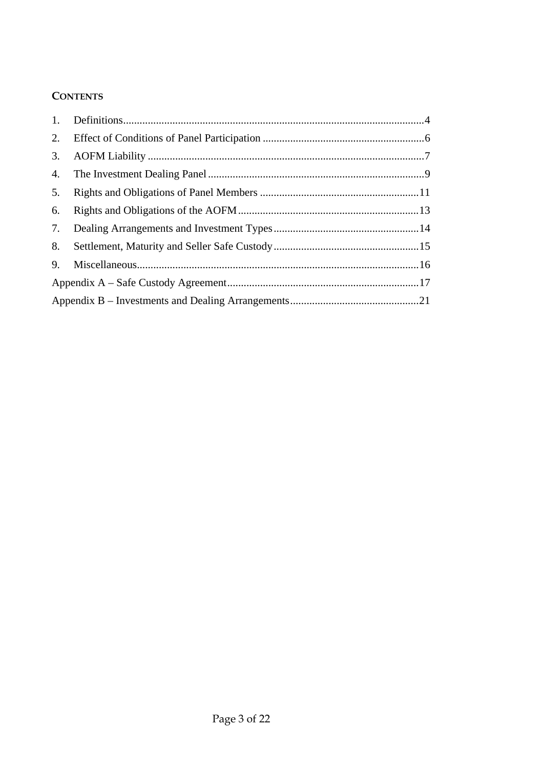### **CONTENTS**

| 1. |  |  |
|----|--|--|
| 2. |  |  |
| 3. |  |  |
| 4. |  |  |
| 5. |  |  |
| 6. |  |  |
| 7. |  |  |
| 8. |  |  |
| 9. |  |  |
|    |  |  |
|    |  |  |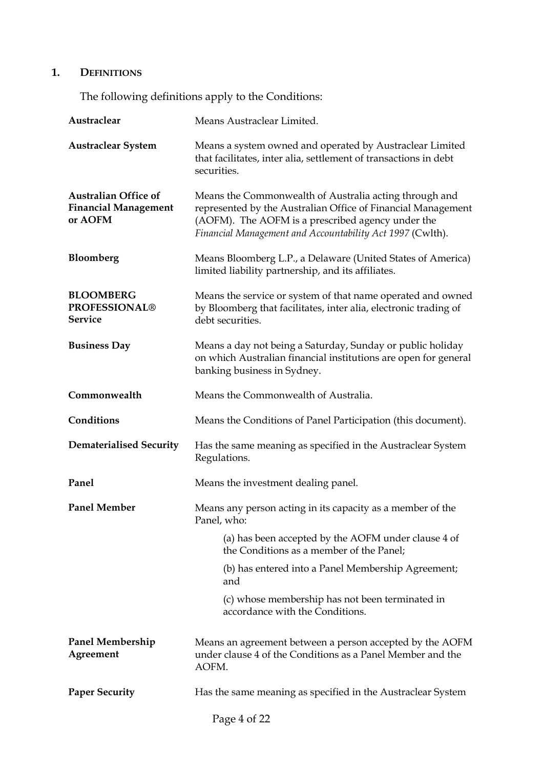# **1. DEFINITIONS**

The following definitions apply to the Conditions:

| Austraclear                                                           | Means Austraclear Limited.                                                                                                                                                                                                               |  |
|-----------------------------------------------------------------------|------------------------------------------------------------------------------------------------------------------------------------------------------------------------------------------------------------------------------------------|--|
| <b>Austraclear System</b>                                             | Means a system owned and operated by Austraclear Limited<br>that facilitates, inter alia, settlement of transactions in debt<br>securities.                                                                                              |  |
| <b>Australian Office of</b><br><b>Financial Management</b><br>or AOFM | Means the Commonwealth of Australia acting through and<br>represented by the Australian Office of Financial Management<br>(AOFM). The AOFM is a prescribed agency under the<br>Financial Management and Accountability Act 1997 (Cwlth). |  |
| <b>Bloomberg</b>                                                      | Means Bloomberg L.P., a Delaware (United States of America)<br>limited liability partnership, and its affiliates.                                                                                                                        |  |
| <b>BLOOMBERG</b><br><b>PROFESSIONAL®</b><br><b>Service</b>            | Means the service or system of that name operated and owned<br>by Bloomberg that facilitates, inter alia, electronic trading of<br>debt securities.                                                                                      |  |
| <b>Business Day</b>                                                   | Means a day not being a Saturday, Sunday or public holiday<br>on which Australian financial institutions are open for general<br>banking business in Sydney.                                                                             |  |
| Commonwealth                                                          | Means the Commonwealth of Australia.                                                                                                                                                                                                     |  |
| Conditions                                                            | Means the Conditions of Panel Participation (this document).                                                                                                                                                                             |  |
| <b>Dematerialised Security</b>                                        | Has the same meaning as specified in the Austraclear System<br>Regulations.                                                                                                                                                              |  |
| Panel                                                                 | Means the investment dealing panel.                                                                                                                                                                                                      |  |
| <b>Panel Member</b>                                                   | Means any person acting in its capacity as a member of the<br>Panel, who:                                                                                                                                                                |  |
|                                                                       | (a) has been accepted by the AOFM under clause 4 of<br>the Conditions as a member of the Panel;                                                                                                                                          |  |
|                                                                       | (b) has entered into a Panel Membership Agreement;<br>and                                                                                                                                                                                |  |
|                                                                       | (c) whose membership has not been terminated in<br>accordance with the Conditions.                                                                                                                                                       |  |
| <b>Panel Membership</b><br>Agreement                                  | Means an agreement between a person accepted by the AOFM<br>under clause 4 of the Conditions as a Panel Member and the<br>AOFM.                                                                                                          |  |
| <b>Paper Security</b>                                                 | Has the same meaning as specified in the Austraclear System                                                                                                                                                                              |  |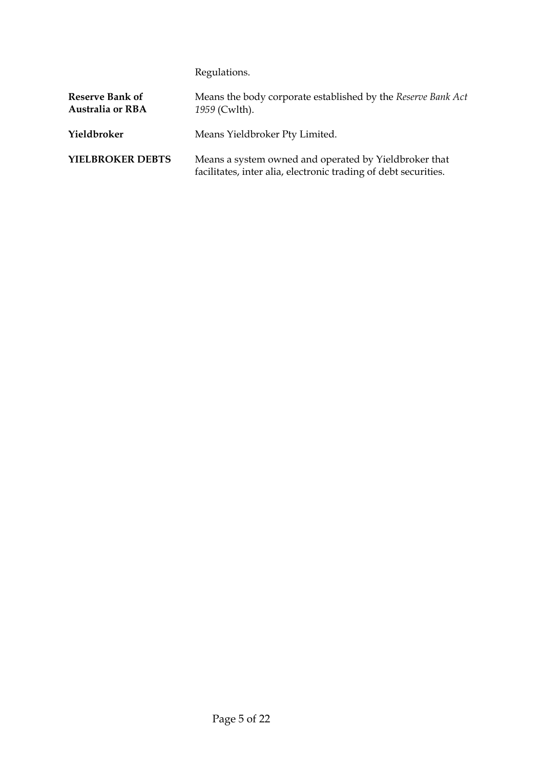Regulations.

| Reserve Bank of<br><b>Australia or RBA</b> | Means the body corporate established by the Reserve Bank Act<br>1959 (Cwlth).                                            |
|--------------------------------------------|--------------------------------------------------------------------------------------------------------------------------|
| Yieldbroker                                | Means Yieldbroker Pty Limited.                                                                                           |
| YIELBROKER DEBTS                           | Means a system owned and operated by Yieldbroker that<br>facilitates, inter alia, electronic trading of debt securities. |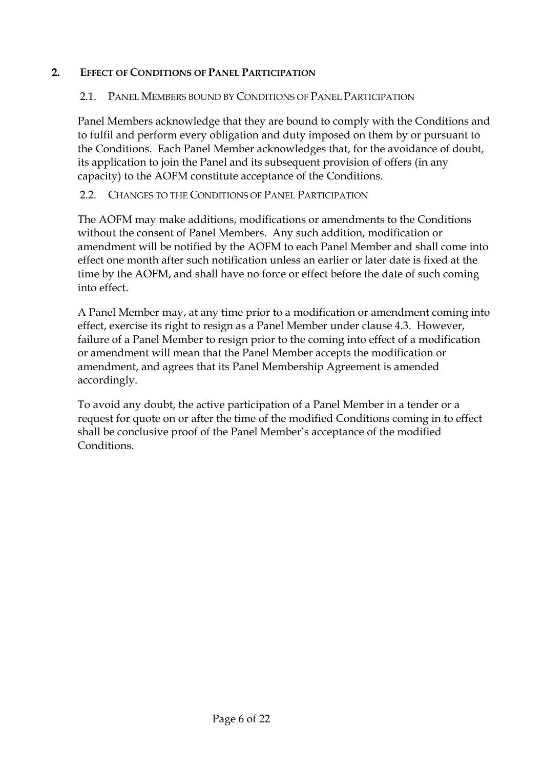### **2. EFFECT OF CONDITIONS OF PANEL PARTICIPATION**

### 2.1. PANEL MEMBERS BOUND BY CONDITIONS OF PANEL PARTICIPATION

Panel Members acknowledge that they are bound to comply with the Conditions and to fulfil and perform every obligation and duty imposed on them by or pursuant to the Conditions. Each Panel Member acknowledges that, for the avoidance of doubt, its application to join the Panel and its subsequent provision of offers (in any capacity) to the AOFM constitute acceptance of the Conditions.

### 2.2. CHANGES TO THE CONDITIONS OF PANEL PARTICIPATION

The AOFM may make additions, modifications or amendments to the Conditions without the consent of Panel Members. Any such addition, modification or amendment will be notified by the AOFM to each Panel Member and shall come into effect one month after such notification unless an earlier or later date is fixed at the time by the AOFM, and shall have no force or effect before the date of such coming into effect.

A Panel Member may, at any time prior to a modification or amendment coming into effect, exercise its right to resign as a Panel Member under clause 4.3. However, failure of a Panel Member to resign prior to the coming into effect of a modification or amendment will mean that the Panel Member accepts the modification or amendment, and agrees that its Panel Membership Agreement is amended accordingly.

To avoid any doubt, the active participation of a Panel Member in a tender or a request for quote on or after the time of the modified Conditions coming in to effect shall be conclusive proof of the Panel Member's acceptance of the modified Conditions.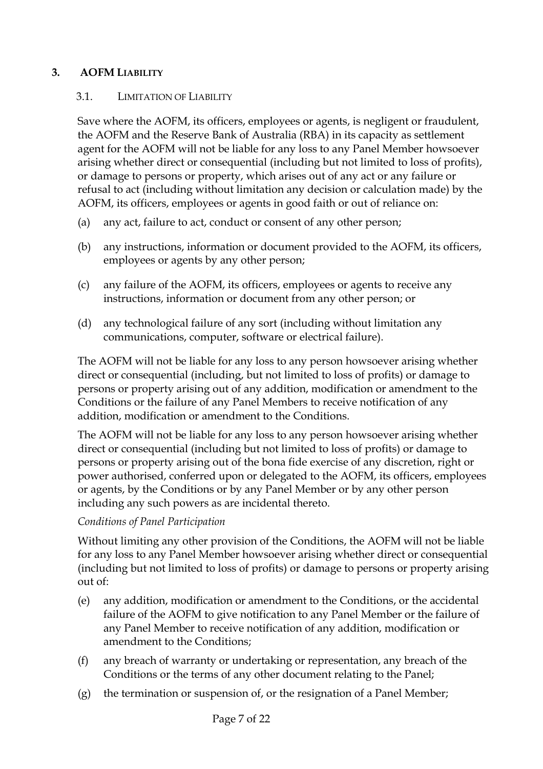### **3. AOFM LIABILITY**

### 3.1. LIMITATION OF LIABILITY

Save where the AOFM, its officers, employees or agents, is negligent or fraudulent, the AOFM and the Reserve Bank of Australia (RBA) in its capacity as settlement agent for the AOFM will not be liable for any loss to any Panel Member howsoever arising whether direct or consequential (including but not limited to loss of profits), or damage to persons or property, which arises out of any act or any failure or refusal to act (including without limitation any decision or calculation made) by the AOFM, its officers, employees or agents in good faith or out of reliance on:

- (a) any act, failure to act, conduct or consent of any other person;
- (b) any instructions, information or document provided to the AOFM, its officers, employees or agents by any other person;
- (c) any failure of the AOFM, its officers, employees or agents to receive any instructions, information or document from any other person; or
- (d) any technological failure of any sort (including without limitation any communications, computer, software or electrical failure).

The AOFM will not be liable for any loss to any person howsoever arising whether direct or consequential (including, but not limited to loss of profits) or damage to persons or property arising out of any addition, modification or amendment to the Conditions or the failure of any Panel Members to receive notification of any addition, modification or amendment to the Conditions.

The AOFM will not be liable for any loss to any person howsoever arising whether direct or consequential (including but not limited to loss of profits) or damage to persons or property arising out of the bona fide exercise of any discretion, right or power authorised, conferred upon or delegated to the AOFM, its officers, employees or agents, by the Conditions or by any Panel Member or by any other person including any such powers as are incidental thereto.

### *Conditions of Panel Participation*

Without limiting any other provision of the Conditions, the AOFM will not be liable for any loss to any Panel Member howsoever arising whether direct or consequential (including but not limited to loss of profits) or damage to persons or property arising out of:

- (e) any addition, modification or amendment to the Conditions, or the accidental failure of the AOFM to give notification to any Panel Member or the failure of any Panel Member to receive notification of any addition, modification or amendment to the Conditions;
- (f) any breach of warranty or undertaking or representation, any breach of the Conditions or the terms of any other document relating to the Panel;
- (g) the termination or suspension of, or the resignation of a Panel Member;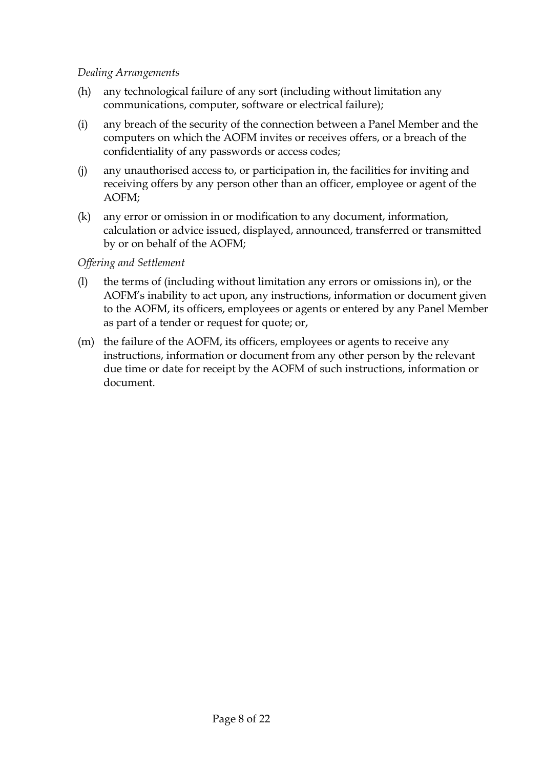### *Dealing Arrangements*

- (h) any technological failure of any sort (including without limitation any communications, computer, software or electrical failure);
- (i) any breach of the security of the connection between a Panel Member and the computers on which the AOFM invites or receives offers, or a breach of the confidentiality of any passwords or access codes;
- (j) any unauthorised access to, or participation in, the facilities for inviting and receiving offers by any person other than an officer, employee or agent of the AOFM;
- (k) any error or omission in or modification to any document, information, calculation or advice issued, displayed, announced, transferred or transmitted by or on behalf of the AOFM;

#### *Offering and Settlement*

- (l) the terms of (including without limitation any errors or omissions in), or the AOFM's inability to act upon, any instructions, information or document given to the AOFM, its officers, employees or agents or entered by any Panel Member as part of a tender or request for quote; or,
- (m) the failure of the AOFM, its officers, employees or agents to receive any instructions, information or document from any other person by the relevant due time or date for receipt by the AOFM of such instructions, information or document.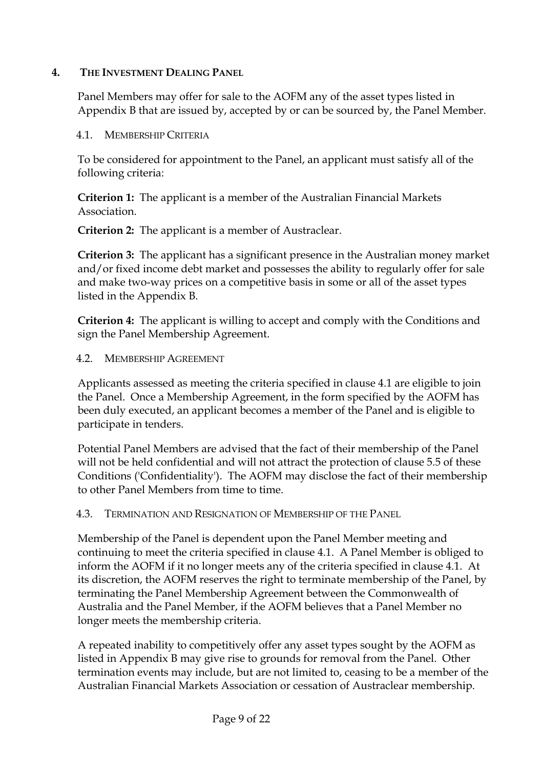### **4. THE INVESTMENT DEALING PANEL**

Panel Members may offer for sale to the AOFM any of the asset types listed in Appendix B that are issued by, accepted by or can be sourced by, the Panel Member.

### 4.1. MEMBERSHIP CRITERIA

To be considered for appointment to the Panel, an applicant must satisfy all of the following criteria:

**Criterion 1:** The applicant is a member of the Australian Financial Markets Association.

**Criterion 2:** The applicant is a member of Austraclear.

**Criterion 3:** The applicant has a significant presence in the Australian money market and/or fixed income debt market and possesses the ability to regularly offer for sale and make two-way prices on a competitive basis in some or all of the asset types listed in the Appendix B.

**Criterion 4:** The applicant is willing to accept and comply with the Conditions and sign the Panel Membership Agreement.

### 4.2. MEMBERSHIP AGREEMENT

Applicants assessed as meeting the criteria specified in clause 4.1 are eligible to join the Panel. Once a Membership Agreement, in the form specified by the AOFM has been duly executed, an applicant becomes a member of the Panel and is eligible to participate in tenders.

Potential Panel Members are advised that the fact of their membership of the Panel will not be held confidential and will not attract the protection of clause 5.5 of these Conditions ('Confidentiality'). The AOFM may disclose the fact of their membership to other Panel Members from time to time.

4.3. TERMINATION AND RESIGNATION OF MEMBERSHIP OF THE PANEL

Membership of the Panel is dependent upon the Panel Member meeting and continuing to meet the criteria specified in clause 4.1. A Panel Member is obliged to inform the AOFM if it no longer meets any of the criteria specified in clause 4.1. At its discretion, the AOFM reserves the right to terminate membership of the Panel, by terminating the Panel Membership Agreement between the Commonwealth of Australia and the Panel Member, if the AOFM believes that a Panel Member no longer meets the membership criteria.

A repeated inability to competitively offer any asset types sought by the AOFM as listed in Appendix B may give rise to grounds for removal from the Panel. Other termination events may include, but are not limited to, ceasing to be a member of the Australian Financial Markets Association or cessation of Austraclear membership.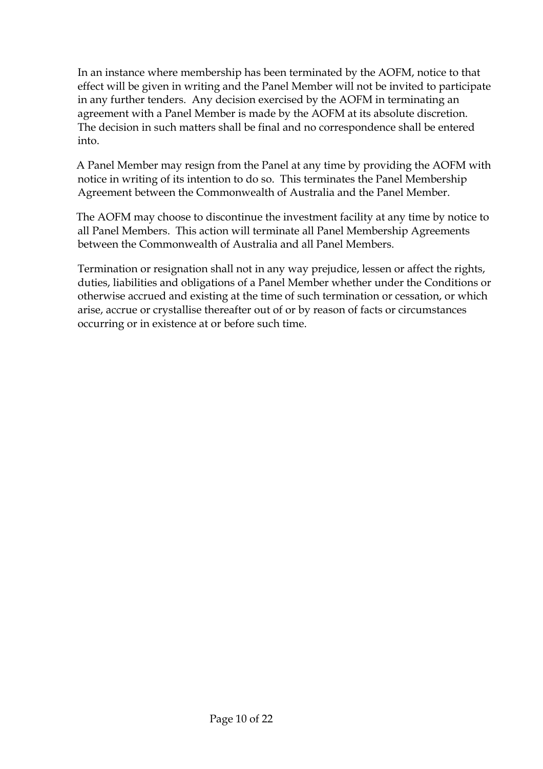In an instance where membership has been terminated by the AOFM, notice to that effect will be given in writing and the Panel Member will not be invited to participate in any further tenders. Any decision exercised by the AOFM in terminating an agreement with a Panel Member is made by the AOFM at its absolute discretion. The decision in such matters shall be final and no correspondence shall be entered into.

A Panel Member may resign from the Panel at any time by providing the AOFM with notice in writing of its intention to do so. This terminates the Panel Membership Agreement between the Commonwealth of Australia and the Panel Member.

The AOFM may choose to discontinue the investment facility at any time by notice to all Panel Members. This action will terminate all Panel Membership Agreements between the Commonwealth of Australia and all Panel Members.

Termination or resignation shall not in any way prejudice, lessen or affect the rights, duties, liabilities and obligations of a Panel Member whether under the Conditions or otherwise accrued and existing at the time of such termination or cessation, or which arise, accrue or crystallise thereafter out of or by reason of facts or circumstances occurring or in existence at or before such time.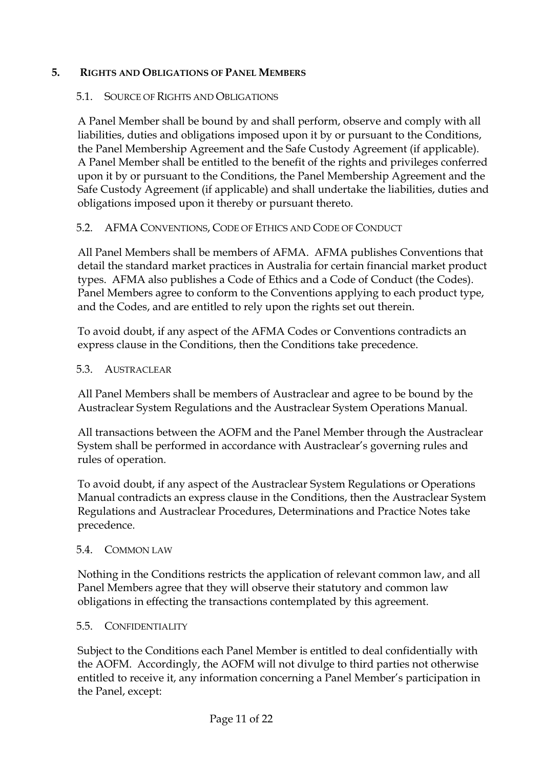### **5. RIGHTS AND OBLIGATIONS OF PANEL MEMBERS**

#### 5.1. SOURCE OF RIGHTS AND OBLIGATIONS

A Panel Member shall be bound by and shall perform, observe and comply with all liabilities, duties and obligations imposed upon it by or pursuant to the Conditions, the Panel Membership Agreement and the Safe Custody Agreement (if applicable). A Panel Member shall be entitled to the benefit of the rights and privileges conferred upon it by or pursuant to the Conditions, the Panel Membership Agreement and the Safe Custody Agreement (if applicable) and shall undertake the liabilities, duties and obligations imposed upon it thereby or pursuant thereto.

### 5.2. AFMA CONVENTIONS, CODE OF ETHICS AND CODE OF CONDUCT

All Panel Members shall be members of AFMA. AFMA publishes Conventions that detail the standard market practices in Australia for certain financial market product types. AFMA also publishes a Code of Ethics and a Code of Conduct (the Codes). Panel Members agree to conform to the Conventions applying to each product type, and the Codes, and are entitled to rely upon the rights set out therein.

To avoid doubt, if any aspect of the AFMA Codes or Conventions contradicts an express clause in the Conditions, then the Conditions take precedence.

#### 5.3. AUSTRACLEAR

All Panel Members shall be members of Austraclear and agree to be bound by the Austraclear System Regulations and the Austraclear System Operations Manual.

All transactions between the AOFM and the Panel Member through the Austraclear System shall be performed in accordance with Austraclear's governing rules and rules of operation.

To avoid doubt, if any aspect of the Austraclear System Regulations or Operations Manual contradicts an express clause in the Conditions, then the Austraclear System Regulations and Austraclear Procedures, Determinations and Practice Notes take precedence.

#### 5.4. COMMON LAW

Nothing in the Conditions restricts the application of relevant common law, and all Panel Members agree that they will observe their statutory and common law obligations in effecting the transactions contemplated by this agreement.

#### 5.5. CONFIDENTIALITY

Subject to the Conditions each Panel Member is entitled to deal confidentially with the AOFM. Accordingly, the AOFM will not divulge to third parties not otherwise entitled to receive it, any information concerning a Panel Member's participation in the Panel, except: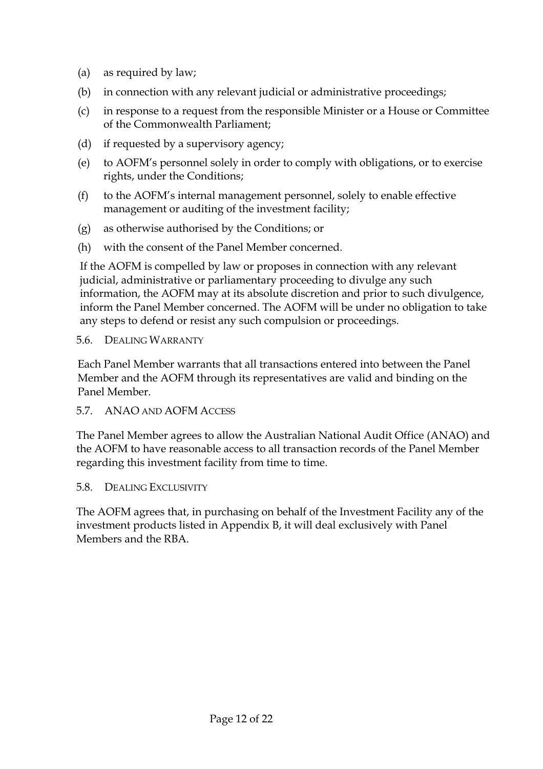- (a) as required by law;
- (b) in connection with any relevant judicial or administrative proceedings;
- (c) in response to a request from the responsible Minister or a House or Committee of the Commonwealth Parliament;
- (d) if requested by a supervisory agency;
- (e) to AOFM's personnel solely in order to comply with obligations, or to exercise rights, under the Conditions;
- (f) to the AOFM's internal management personnel, solely to enable effective management or auditing of the investment facility;
- (g) as otherwise authorised by the Conditions; or
- (h) with the consent of the Panel Member concerned.

If the AOFM is compelled by law or proposes in connection with any relevant judicial, administrative or parliamentary proceeding to divulge any such information, the AOFM may at its absolute discretion and prior to such divulgence, inform the Panel Member concerned. The AOFM will be under no obligation to take any steps to defend or resist any such compulsion or proceedings.

#### 5.6. DEALING WARRANTY

Each Panel Member warrants that all transactions entered into between the Panel Member and the AOFM through its representatives are valid and binding on the Panel Member.

5.7. ANAO AND AOFM ACCESS

The Panel Member agrees to allow the Australian National Audit Office (ANAO) and the AOFM to have reasonable access to all transaction records of the Panel Member regarding this investment facility from time to time.

5.8. DEALING EXCLUSIVITY

The AOFM agrees that, in purchasing on behalf of the Investment Facility any of the investment products listed in Appendix B, it will deal exclusively with Panel Members and the RBA.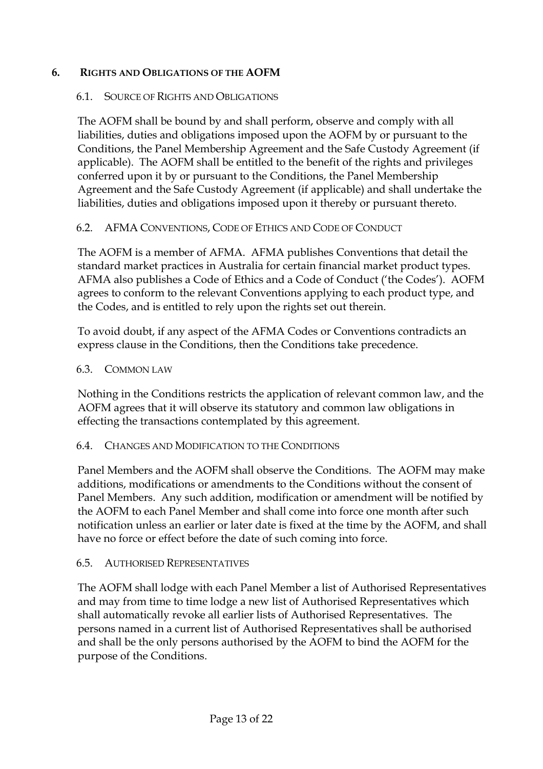### **6. RIGHTS AND OBLIGATIONS OF THE AOFM**

#### 6.1. SOURCE OF RIGHTS AND OBLIGATIONS

The AOFM shall be bound by and shall perform, observe and comply with all liabilities, duties and obligations imposed upon the AOFM by or pursuant to the Conditions, the Panel Membership Agreement and the Safe Custody Agreement (if applicable). The AOFM shall be entitled to the benefit of the rights and privileges conferred upon it by or pursuant to the Conditions, the Panel Membership Agreement and the Safe Custody Agreement (if applicable) and shall undertake the liabilities, duties and obligations imposed upon it thereby or pursuant thereto.

### 6.2. AFMA CONVENTIONS, CODE OF ETHICS AND CODE OF CONDUCT

The AOFM is a member of AFMA. AFMA publishes Conventions that detail the standard market practices in Australia for certain financial market product types. AFMA also publishes a Code of Ethics and a Code of Conduct ('the Codes'). AOFM agrees to conform to the relevant Conventions applying to each product type, and the Codes, and is entitled to rely upon the rights set out therein.

To avoid doubt, if any aspect of the AFMA Codes or Conventions contradicts an express clause in the Conditions, then the Conditions take precedence.

#### 6.3. COMMON LAW

Nothing in the Conditions restricts the application of relevant common law, and the AOFM agrees that it will observe its statutory and common law obligations in effecting the transactions contemplated by this agreement.

#### 6.4. CHANGES AND MODIFICATION TO THE CONDITIONS

Panel Members and the AOFM shall observe the Conditions. The AOFM may make additions, modifications or amendments to the Conditions without the consent of Panel Members. Any such addition, modification or amendment will be notified by the AOFM to each Panel Member and shall come into force one month after such notification unless an earlier or later date is fixed at the time by the AOFM, and shall have no force or effect before the date of such coming into force.

#### 6.5. AUTHORISED REPRESENTATIVES

The AOFM shall lodge with each Panel Member a list of Authorised Representatives and may from time to time lodge a new list of Authorised Representatives which shall automatically revoke all earlier lists of Authorised Representatives. The persons named in a current list of Authorised Representatives shall be authorised and shall be the only persons authorised by the AOFM to bind the AOFM for the purpose of the Conditions.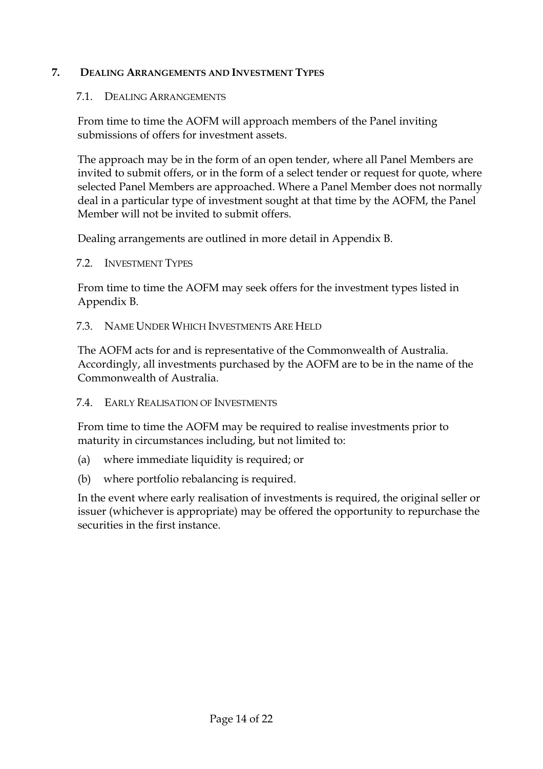### **7. DEALING ARRANGEMENTS AND INVESTMENT TYPES**

#### 7.1. DEALING ARRANGEMENTS

From time to time the AOFM will approach members of the Panel inviting submissions of offers for investment assets.

The approach may be in the form of an open tender, where all Panel Members are invited to submit offers, or in the form of a select tender or request for quote, where selected Panel Members are approached. Where a Panel Member does not normally deal in a particular type of investment sought at that time by the AOFM, the Panel Member will not be invited to submit offers.

Dealing arrangements are outlined in more detail in Appendix B.

7.2. INVESTMENT TYPES

From time to time the AOFM may seek offers for the investment types listed in Appendix B.

7.3. NAME UNDER WHICH INVESTMENTS ARE HELD

The AOFM acts for and is representative of the Commonwealth of Australia. Accordingly, all investments purchased by the AOFM are to be in the name of the Commonwealth of Australia.

7.4. EARLY REALISATION OF INVESTMENTS

From time to time the AOFM may be required to realise investments prior to maturity in circumstances including, but not limited to:

- (a) where immediate liquidity is required; or
- (b) where portfolio rebalancing is required.

In the event where early realisation of investments is required, the original seller or issuer (whichever is appropriate) may be offered the opportunity to repurchase the securities in the first instance.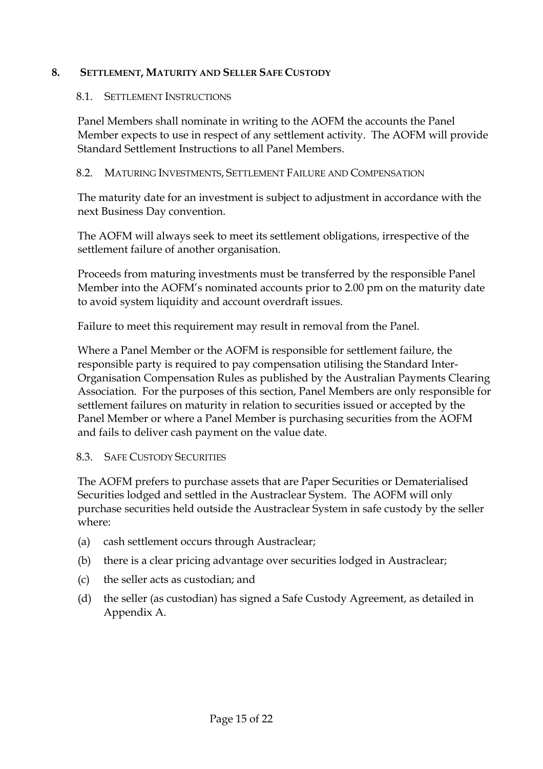### **8. SETTLEMENT, MATURITY AND SELLER SAFE CUSTODY**

### 8.1. SETTLEMENT INSTRUCTIONS

Panel Members shall nominate in writing to the AOFM the accounts the Panel Member expects to use in respect of any settlement activity. The AOFM will provide Standard Settlement Instructions to all Panel Members.

### 8.2. MATURING INVESTMENTS, SETTLEMENT FAILURE AND COMPENSATION

The maturity date for an investment is subject to adjustment in accordance with the next Business Day convention.

The AOFM will always seek to meet its settlement obligations, irrespective of the settlement failure of another organisation.

Proceeds from maturing investments must be transferred by the responsible Panel Member into the AOFM's nominated accounts prior to 2.00 pm on the maturity date to avoid system liquidity and account overdraft issues.

Failure to meet this requirement may result in removal from the Panel.

Where a Panel Member or the AOFM is responsible for settlement failure, the responsible party is required to pay compensation utilising the Standard Inter-Organisation Compensation Rules as published by the Australian Payments Clearing Association. For the purposes of this section, Panel Members are only responsible for settlement failures on maturity in relation to securities issued or accepted by the Panel Member or where a Panel Member is purchasing securities from the AOFM and fails to deliver cash payment on the value date.

### 8.3. SAFE CUSTODY SECURITIES

The AOFM prefers to purchase assets that are Paper Securities or Dematerialised Securities lodged and settled in the Austraclear System. The AOFM will only purchase securities held outside the Austraclear System in safe custody by the seller where:

- (a) cash settlement occurs through Austraclear;
- (b) there is a clear pricing advantage over securities lodged in Austraclear;
- (c) the seller acts as custodian; and
- (d) the seller (as custodian) has signed a Safe Custody Agreement, as detailed in Appendix A.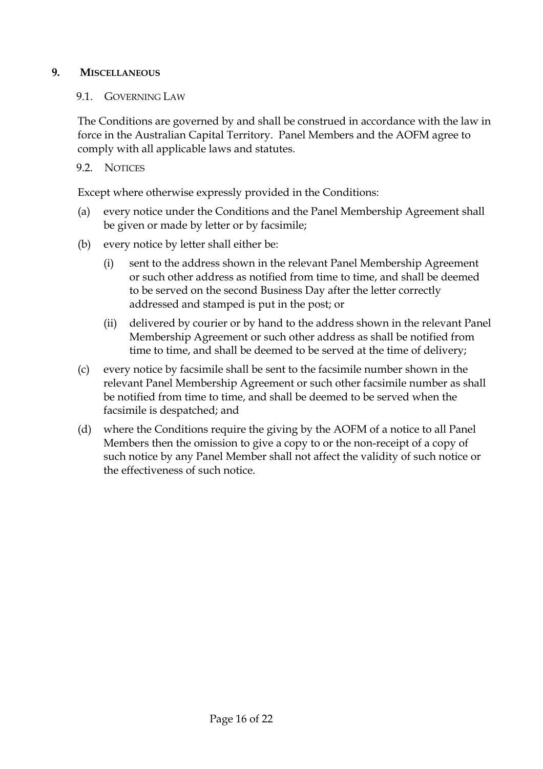### **9. MISCELLANEOUS**

### 9.1. GOVERNING LAW

The Conditions are governed by and shall be construed in accordance with the law in force in the Australian Capital Territory. Panel Members and the AOFM agree to comply with all applicable laws and statutes.

### 9.2. NOTICES

Except where otherwise expressly provided in the Conditions:

- (a) every notice under the Conditions and the Panel Membership Agreement shall be given or made by letter or by facsimile;
- (b) every notice by letter shall either be:
	- (i) sent to the address shown in the relevant Panel Membership Agreement or such other address as notified from time to time, and shall be deemed to be served on the second Business Day after the letter correctly addressed and stamped is put in the post; or
	- (ii) delivered by courier or by hand to the address shown in the relevant Panel Membership Agreement or such other address as shall be notified from time to time, and shall be deemed to be served at the time of delivery;
- (c) every notice by facsimile shall be sent to the facsimile number shown in the relevant Panel Membership Agreement or such other facsimile number as shall be notified from time to time, and shall be deemed to be served when the facsimile is despatched; and
- (d) where the Conditions require the giving by the AOFM of a notice to all Panel Members then the omission to give a copy to or the non-receipt of a copy of such notice by any Panel Member shall not affect the validity of such notice or the effectiveness of such notice.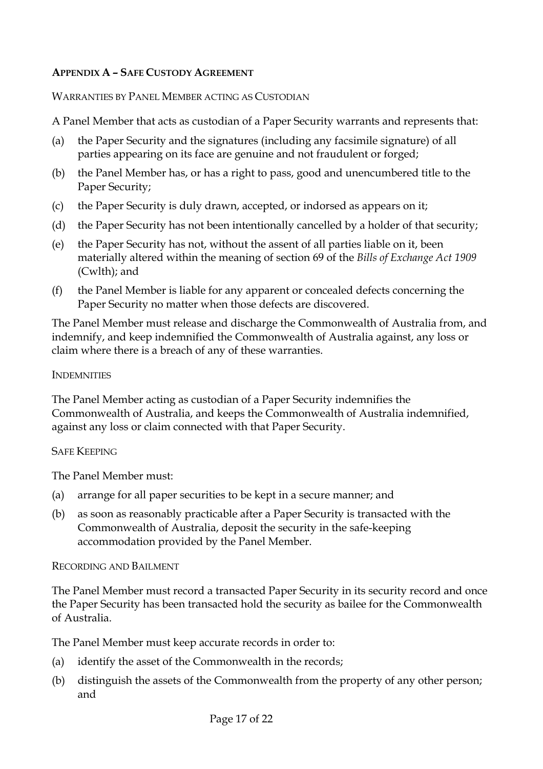### **APPENDIX A – SAFE CUSTODY AGREEMENT**

### WARRANTIES BY PANEL MEMBER ACTING AS CUSTODIAN

A Panel Member that acts as custodian of a Paper Security warrants and represents that:

- (a) the Paper Security and the signatures (including any facsimile signature) of all parties appearing on its face are genuine and not fraudulent or forged;
- (b) the Panel Member has, or has a right to pass, good and unencumbered title to the Paper Security;
- (c) the Paper Security is duly drawn, accepted, or indorsed as appears on it;
- (d) the Paper Security has not been intentionally cancelled by a holder of that security;
- (e) the Paper Security has not, without the assent of all parties liable on it, been materially altered within the meaning of section 69 of the *Bills of Exchange Act 1909* (Cwlth); and
- (f) the Panel Member is liable for any apparent or concealed defects concerning the Paper Security no matter when those defects are discovered.

The Panel Member must release and discharge the Commonwealth of Australia from, and indemnify, and keep indemnified the Commonwealth of Australia against, any loss or claim where there is a breach of any of these warranties.

### **INDEMNITIES**

The Panel Member acting as custodian of a Paper Security indemnifies the Commonwealth of Australia, and keeps the Commonwealth of Australia indemnified, against any loss or claim connected with that Paper Security.

### SAFE KEEPING

The Panel Member must:

- (a) arrange for all paper securities to be kept in a secure manner; and
- (b) as soon as reasonably practicable after a Paper Security is transacted with the Commonwealth of Australia, deposit the security in the safe-keeping accommodation provided by the Panel Member.

### RECORDING AND BAILMENT

The Panel Member must record a transacted Paper Security in its security record and once the Paper Security has been transacted hold the security as bailee for the Commonwealth of Australia.

The Panel Member must keep accurate records in order to:

- (a) identify the asset of the Commonwealth in the records;
- (b) distinguish the assets of the Commonwealth from the property of any other person; and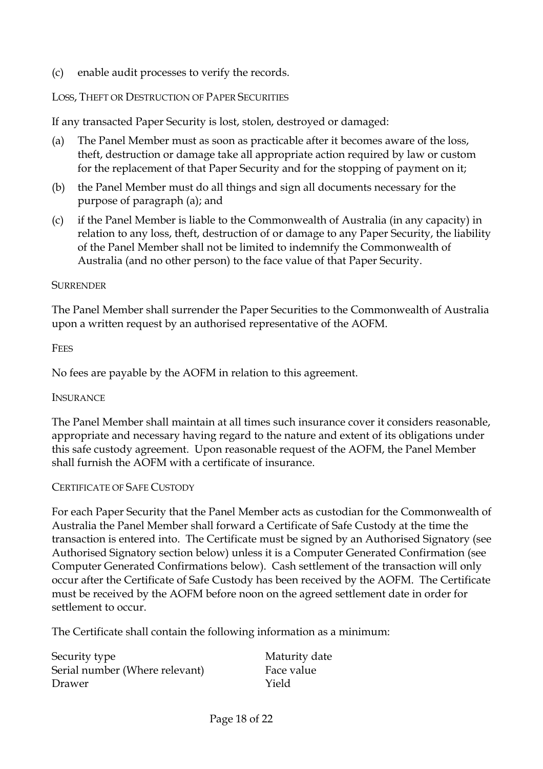(c) enable audit processes to verify the records.

#### LOSS, THEFT OR DESTRUCTION OF PAPER SECURITIES

If any transacted Paper Security is lost, stolen, destroyed or damaged:

- (a) The Panel Member must as soon as practicable after it becomes aware of the loss, theft, destruction or damage take all appropriate action required by law or custom for the replacement of that Paper Security and for the stopping of payment on it;
- (b) the Panel Member must do all things and sign all documents necessary for the purpose of paragraph (a); and
- (c) if the Panel Member is liable to the Commonwealth of Australia (in any capacity) in relation to any loss, theft, destruction of or damage to any Paper Security, the liability of the Panel Member shall not be limited to indemnify the Commonwealth of Australia (and no other person) to the face value of that Paper Security.

#### **SURRENDER**

The Panel Member shall surrender the Paper Securities to the Commonwealth of Australia upon a written request by an authorised representative of the AOFM.

#### **FEES**

No fees are payable by the AOFM in relation to this agreement.

#### **INSURANCE**

The Panel Member shall maintain at all times such insurance cover it considers reasonable, appropriate and necessary having regard to the nature and extent of its obligations under this safe custody agreement. Upon reasonable request of the AOFM, the Panel Member shall furnish the AOFM with a certificate of insurance.

#### CERTIFICATE OF SAFE CUSTODY

For each Paper Security that the Panel Member acts as custodian for the Commonwealth of Australia the Panel Member shall forward a Certificate of Safe Custody at the time the transaction is entered into. The Certificate must be signed by an Authorised Signatory (see Authorised Signatory section below) unless it is a Computer Generated Confirmation (see Computer Generated Confirmations below). Cash settlement of the transaction will only occur after the Certificate of Safe Custody has been received by the AOFM. The Certificate must be received by the AOFM before noon on the agreed settlement date in order for settlement to occur.

The Certificate shall contain the following information as a minimum:

| Security type                  | Maturity date |
|--------------------------------|---------------|
| Serial number (Where relevant) | Face value    |
| Drawer                         | Yield         |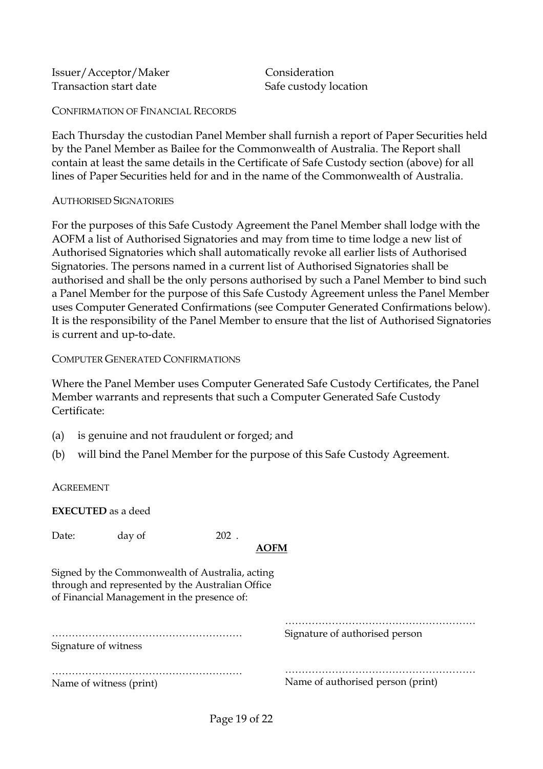Issuer/Acceptor/Maker Consideration Transaction start date Safe custody location

CONFIRMATION OF FINANCIAL RECORDS

Each Thursday the custodian Panel Member shall furnish a report of Paper Securities held by the Panel Member as Bailee for the Commonwealth of Australia. The Report shall contain at least the same details in the Certificate of Safe Custody section (above) for all lines of Paper Securities held for and in the name of the Commonwealth of Australia.

#### AUTHORISED SIGNATORIES

For the purposes of this Safe Custody Agreement the Panel Member shall lodge with the AOFM a list of Authorised Signatories and may from time to time lodge a new list of Authorised Signatories which shall automatically revoke all earlier lists of Authorised Signatories. The persons named in a current list of Authorised Signatories shall be authorised and shall be the only persons authorised by such a Panel Member to bind such a Panel Member for the purpose of this Safe Custody Agreement unless the Panel Member uses Computer Generated Confirmations (see Computer Generated Confirmations below). It is the responsibility of the Panel Member to ensure that the list of Authorised Signatories is current and up-to-date.

#### COMPUTER GENERATED CONFIRMATIONS

Where the Panel Member uses Computer Generated Safe Custody Certificates, the Panel Member warrants and represents that such a Computer Generated Safe Custody Certificate:

- (a) is genuine and not fraudulent or forged; and
- (b) will bind the Panel Member for the purpose of this Safe Custody Agreement.

**AGREEMENT** 

**EXECUTED** as a deed

Date: day of 202.

### **AOFM**

Signed by the Commonwealth of Australia, acting through and represented by the Australian Office of Financial Management in the presence of:

………………………………………………… Signature of witness

……………………………………………………………………………… Signature of authorised person

………………………………………………… Name of witness (print)

Name of authorised person (print)

…………………………………………………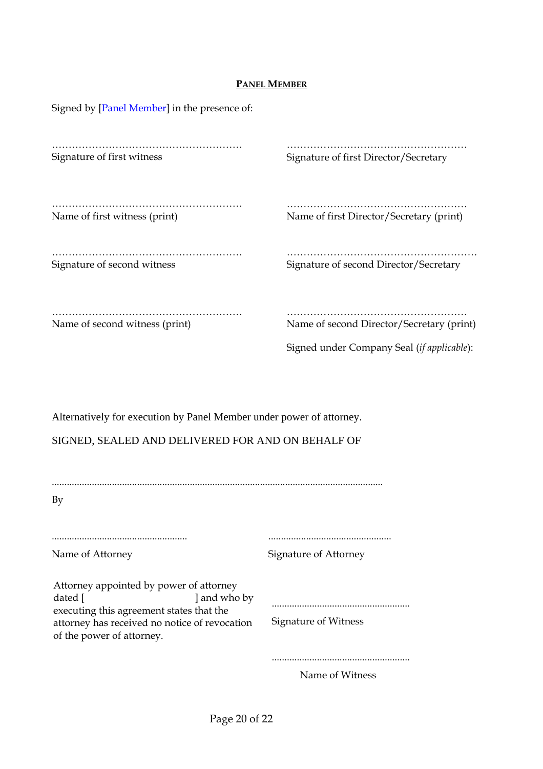#### **PANEL MEMBER**

| Signed by [Panel Member] in the presence of: |                                                                                         |  |
|----------------------------------------------|-----------------------------------------------------------------------------------------|--|
| Signature of first witness                   | Signature of first Director/Secretary                                                   |  |
| Name of first witness (print)                | Name of first Director/Secretary (print)                                                |  |
| Signature of second witness                  | Signature of second Director/Secretary                                                  |  |
| Name of second witness (print)               | Name of second Director/Secretary (print)<br>Signed under Company Seal (if applicable): |  |

Alternatively for execution by Panel Member under power of attorney.

SIGNED, SEALED AND DELIVERED FOR AND ON BEHALF OF

| By                                                                                                                                                                                         |                             |
|--------------------------------------------------------------------------------------------------------------------------------------------------------------------------------------------|-----------------------------|
|                                                                                                                                                                                            |                             |
|                                                                                                                                                                                            |                             |
| Name of Attorney                                                                                                                                                                           | Signature of Attorney       |
| Attorney appointed by power of attorney<br>dated [<br>and who by<br>executing this agreement states that the<br>attorney has received no notice of revocation<br>of the power of attorney. | <b>Signature of Witness</b> |
|                                                                                                                                                                                            |                             |
|                                                                                                                                                                                            | Name of Witness             |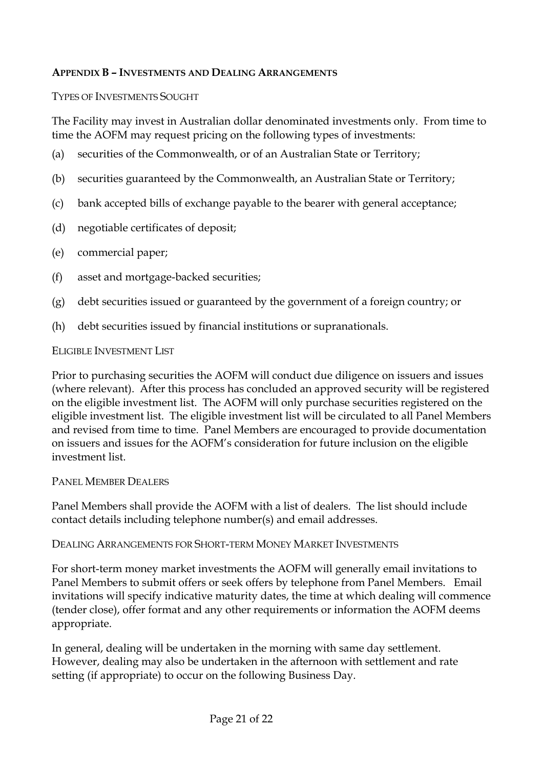### **APPENDIX B – INVESTMENTS AND DEALING ARRANGEMENTS**

### TYPES OF INVESTMENTS SOUGHT

The Facility may invest in Australian dollar denominated investments only. From time to time the AOFM may request pricing on the following types of investments:

- (a) securities of the Commonwealth, or of an Australian State or Territory;
- (b) securities guaranteed by the Commonwealth, an Australian State or Territory;
- (c) bank accepted bills of exchange payable to the bearer with general acceptance;
- (d) negotiable certificates of deposit;
- (e) commercial paper;
- (f) asset and mortgage-backed securities;
- (g) debt securities issued or guaranteed by the government of a foreign country; or
- (h) debt securities issued by financial institutions or supranationals.

### ELIGIBLE INVESTMENT LIST

Prior to purchasing securities the AOFM will conduct due diligence on issuers and issues (where relevant). After this process has concluded an approved security will be registered on the eligible investment list. The AOFM will only purchase securities registered on the eligible investment list. The eligible investment list will be circulated to all Panel Members and revised from time to time. Panel Members are encouraged to provide documentation on issuers and issues for the AOFM's consideration for future inclusion on the eligible investment list.

#### PANEL MEMBER DEALERS

Panel Members shall provide the AOFM with a list of dealers. The list should include contact details including telephone number(s) and email addresses.

### DEALING ARRANGEMENTS FOR SHORT-TERM MONEY MARKET INVESTMENTS

For short-term money market investments the AOFM will generally email invitations to Panel Members to submit offers or seek offers by telephone from Panel Members. Email invitations will specify indicative maturity dates, the time at which dealing will commence (tender close), offer format and any other requirements or information the AOFM deems appropriate.

In general, dealing will be undertaken in the morning with same day settlement. However, dealing may also be undertaken in the afternoon with settlement and rate setting (if appropriate) to occur on the following Business Day.